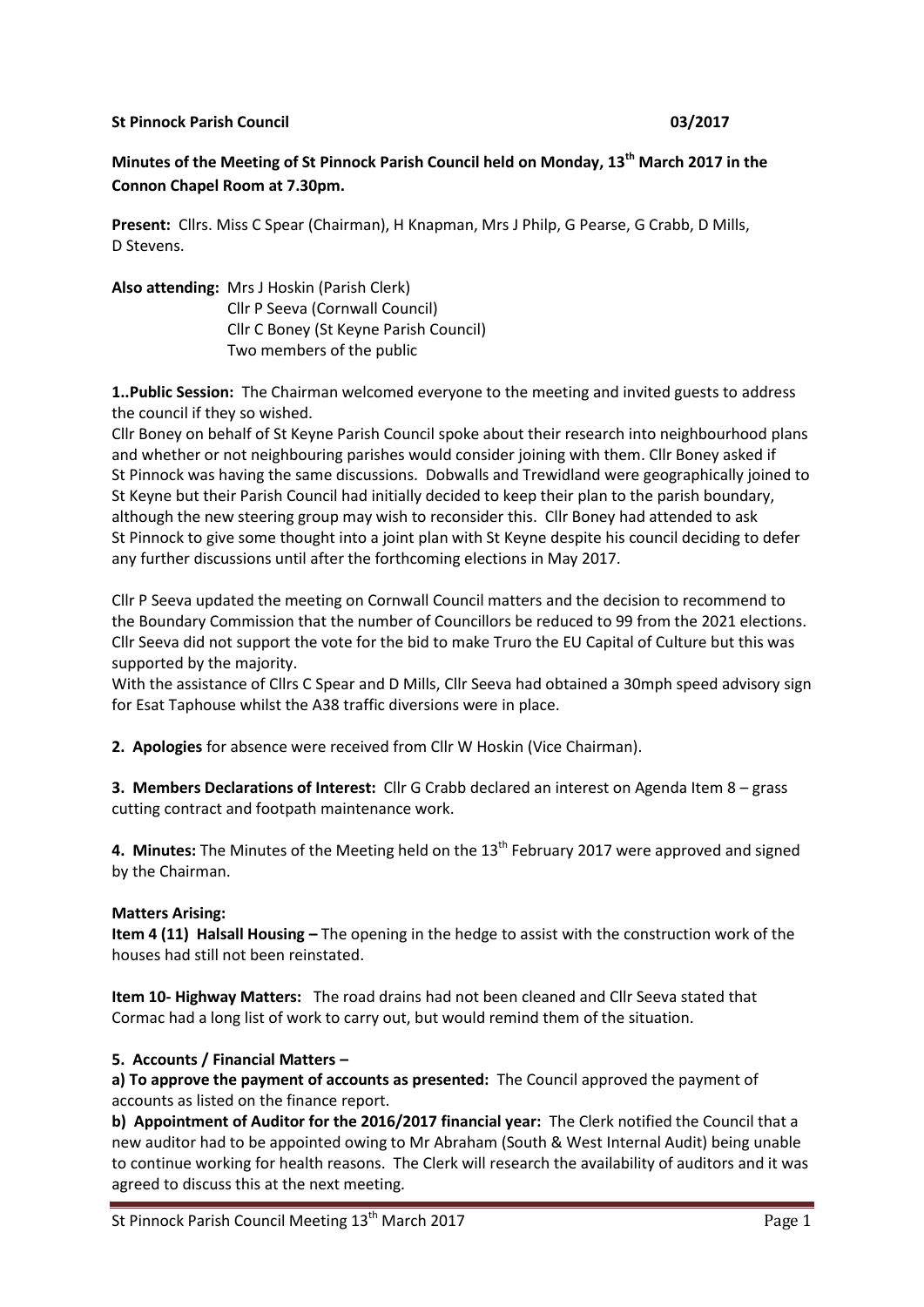### **St Pinnock Parish Council 1200 Community Control 1200 Community Control 2001/2017**

# **Minutes of the Meeting of St Pinnock Parish Council held on Monday, 13th March 2017 in the Connon Chapel Room at 7.30pm.**

**Present:** Cllrs. Miss C Spear (Chairman), H Knapman, Mrs J Philp, G Pearse, G Crabb, D Mills, D Stevens.

**Also attending:** Mrs J Hoskin (Parish Clerk) Cllr P Seeva (Cornwall Council) Cllr C Boney (St Keyne Parish Council) Two members of the public

**1..Public Session:** The Chairman welcomed everyone to the meeting and invited guests to address the council if they so wished.

Cllr Boney on behalf of St Keyne Parish Council spoke about their research into neighbourhood plans and whether or not neighbouring parishes would consider joining with them. Cllr Boney asked if St Pinnock was having the same discussions. Dobwalls and Trewidland were geographically joined to St Keyne but their Parish Council had initially decided to keep their plan to the parish boundary, although the new steering group may wish to reconsider this. Cllr Boney had attended to ask St Pinnock to give some thought into a joint plan with St Keyne despite his council deciding to defer any further discussions until after the forthcoming elections in May 2017.

Cllr P Seeva updated the meeting on Cornwall Council matters and the decision to recommend to the Boundary Commission that the number of Councillors be reduced to 99 from the 2021 elections. Cllr Seeva did not support the vote for the bid to make Truro the EU Capital of Culture but this was supported by the majority.

With the assistance of Cllrs C Spear and D Mills, Cllr Seeva had obtained a 30mph speed advisory sign for Esat Taphouse whilst the A38 traffic diversions were in place.

**2. Apologies** for absence were received from Cllr W Hoskin (Vice Chairman).

**3. Members Declarations of Interest:** Cllr G Crabb declared an interest on Agenda Item 8 – grass cutting contract and footpath maintenance work.

4. Minutes: The Minutes of the Meeting held on the 13<sup>th</sup> February 2017 were approved and signed by the Chairman.

### **Matters Arising:**

**Item 4 (11) Halsall Housing –** The opening in the hedge to assist with the construction work of the houses had still not been reinstated.

**Item 10- Highway Matters:** The road drains had not been cleaned and Cllr Seeva stated that Cormac had a long list of work to carry out, but would remind them of the situation.

### **5. Accounts / Financial Matters –**

**a) To approve the payment of accounts as presented:** The Council approved the payment of accounts as listed on the finance report.

**b) Appointment of Auditor for the 2016/2017 financial year:** The Clerk notified the Council that a new auditor had to be appointed owing to Mr Abraham (South & West Internal Audit) being unable to continue working for health reasons. The Clerk will research the availability of auditors and it was agreed to discuss this at the next meeting.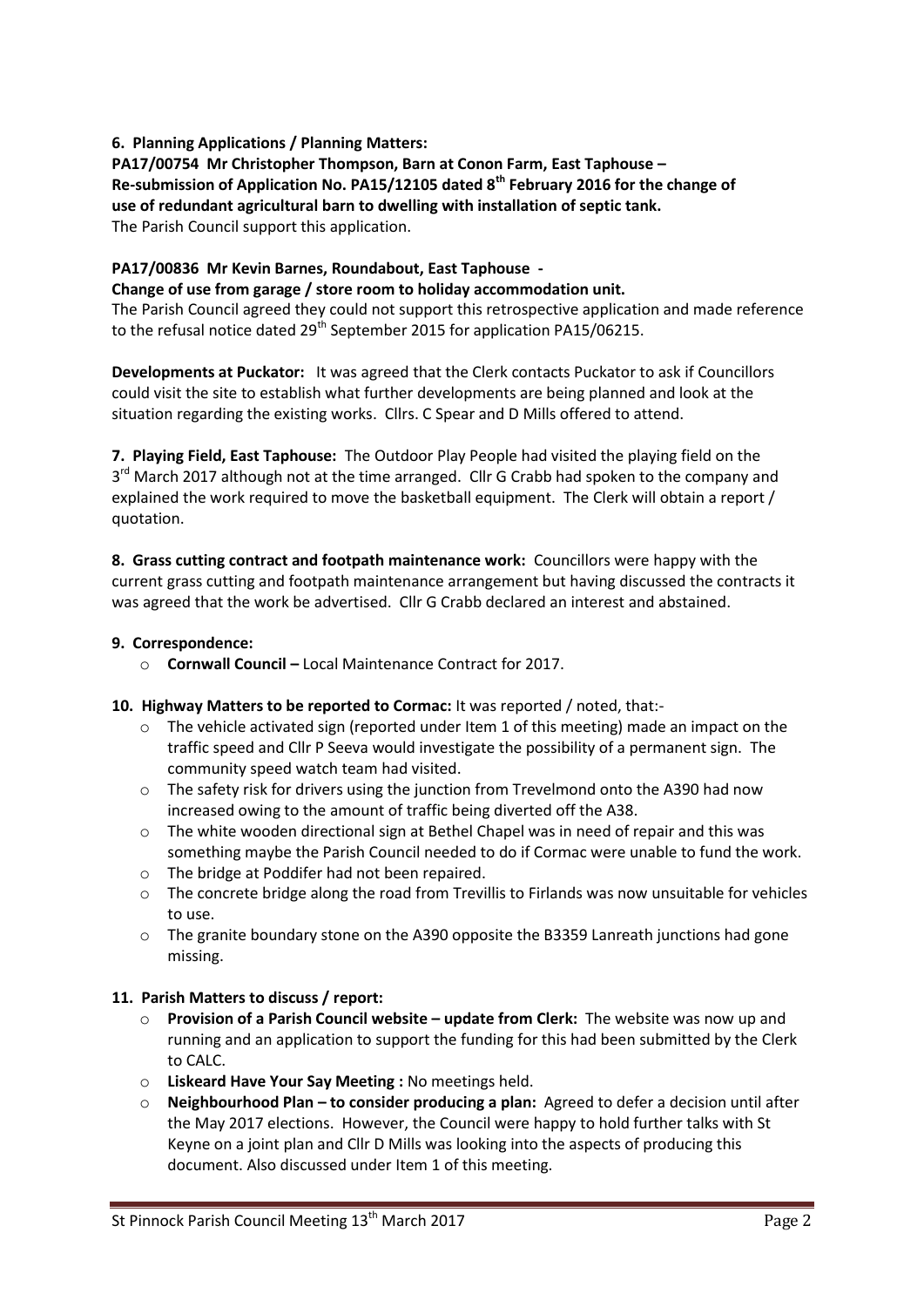## **6. Planning Applications / Planning Matters:**

**PA17/00754 Mr Christopher Thompson, Barn at Conon Farm, East Taphouse – Re-submission of Application No. PA15/12105 dated 8th February 2016 for the change of use of redundant agricultural barn to dwelling with installation of septic tank.**  The Parish Council support this application.

#### **PA17/00836 Mr Kevin Barnes, Roundabout, East Taphouse - Change of use from garage / store room to holiday accommodation unit.**

The Parish Council agreed they could not support this retrospective application and made reference to the refusal notice dated  $29<sup>th</sup>$  September 2015 for application PA15/06215.

**Developments at Puckator:** It was agreed that the Clerk contacts Puckator to ask if Councillors could visit the site to establish what further developments are being planned and look at the situation regarding the existing works. Cllrs. C Spear and D Mills offered to attend.

**7. Playing Field, East Taphouse:** The Outdoor Play People had visited the playing field on the 3<sup>rd</sup> March 2017 although not at the time arranged. Cllr G Crabb had spoken to the company and explained the work required to move the basketball equipment. The Clerk will obtain a report / quotation.

**8. Grass cutting contract and footpath maintenance work:** Councillors were happy with the current grass cutting and footpath maintenance arrangement but having discussed the contracts it was agreed that the work be advertised. Cllr G Crabb declared an interest and abstained.

## **9. Correspondence:**

o **Cornwall Council –** Local Maintenance Contract for 2017.

## **10. Highway Matters to be reported to Cormac:** It was reported / noted, that:-

- $\circ$  The vehicle activated sign (reported under Item 1 of this meeting) made an impact on the traffic speed and Cllr P Seeva would investigate the possibility of a permanent sign. The community speed watch team had visited.
- o The safety risk for drivers using the junction from Trevelmond onto the A390 had now increased owing to the amount of traffic being diverted off the A38.
- $\circ$  The white wooden directional sign at Bethel Chapel was in need of repair and this was something maybe the Parish Council needed to do if Cormac were unable to fund the work.
- o The bridge at Poddifer had not been repaired.
- o The concrete bridge along the road from Trevillis to Firlands was now unsuitable for vehicles to use.
- $\circ$  The granite boundary stone on the A390 opposite the B3359 Lanreath junctions had gone missing.

## **11. Parish Matters to discuss / report:**

- o **Provision of a Parish Council website – update from Clerk:** The website was now up and running and an application to support the funding for this had been submitted by the Clerk to CALC.
- o **Liskeard Have Your Say Meeting :** No meetings held.
- o **Neighbourhood Plan – to consider producing a plan:** Agreed to defer a decision until after the May 2017 elections. However, the Council were happy to hold further talks with St Keyne on a joint plan and Cllr D Mills was looking into the aspects of producing this document. Also discussed under Item 1 of this meeting.